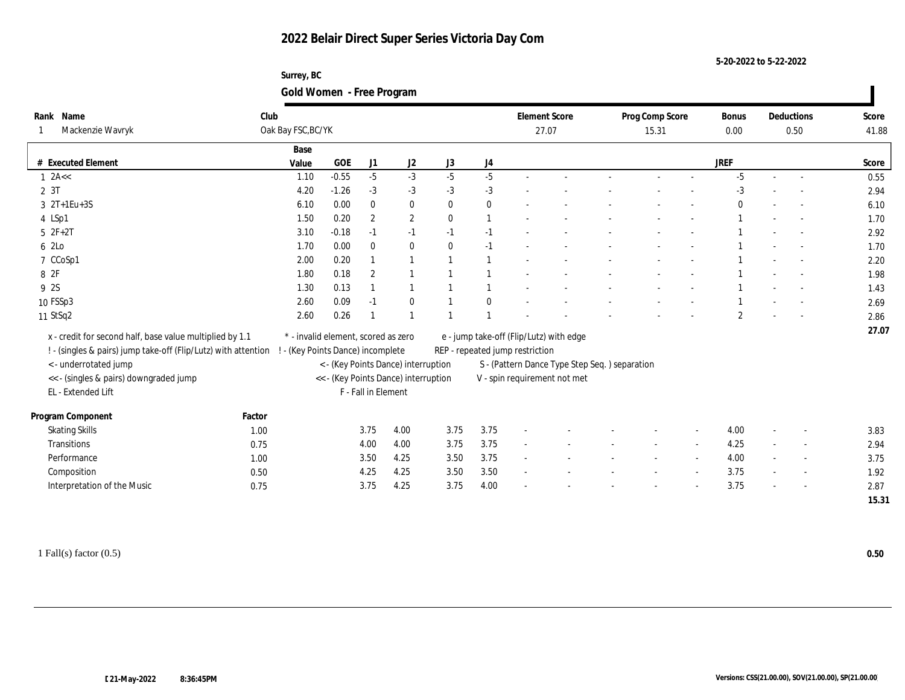**Surrey, BC Gold Women - Free Program**

| Rank Name                                                      | Club                                |            |                     |                                      |              |                | <b>Element Score</b>                    |                                                | Prog Comp Score | <b>Bonus</b>   |        | Deductions | Score |
|----------------------------------------------------------------|-------------------------------------|------------|---------------------|--------------------------------------|--------------|----------------|-----------------------------------------|------------------------------------------------|-----------------|----------------|--------|------------|-------|
| Mackenzie Wavryk                                               | Oak Bay FSC, BC/YK                  |            |                     |                                      |              |                | 27.07                                   |                                                | 15.31           | 0.00           |        | 0.50       | 41.88 |
|                                                                | Base                                |            |                     |                                      |              |                |                                         |                                                |                 |                |        |            |       |
| <b>Executed Element</b>                                        | Value                               | <b>GOE</b> | J1                  | J2                                   | J3           | J4             |                                         |                                                |                 | <b>JREF</b>    |        |            | Score |
| $1$ 2A $\lt$                                                   | 1.10                                | $-0.55$    | $-5$                | $-3$                                 | $-5$         | $-5$           |                                         |                                                |                 | $-5$           | $\sim$ | $\sim$     | 0.55  |
| 2 3T                                                           | 4.20                                | $-1.26$    | $-3$                | $-3$                                 | $-3$         | $-3$           |                                         |                                                |                 | $-3$           |        |            | 2.94  |
| $3 \t2T+1Eu+3S$                                                | 6.10                                | 0.00       | $\bf{0}$            | $\bf{0}$                             | $\bf{0}$     | $\bf{0}$       |                                         |                                                |                 |                |        |            | 6.10  |
| 4 LSp1                                                         | 1.50                                | 0.20       | $\overline{2}$      | $\sqrt{2}$                           | $\mathbf{0}$ | $\overline{1}$ |                                         |                                                |                 |                |        |            | 1.70  |
| $5 \t2F+2T$                                                    | 3.10                                | $-0.18$    | $-1$                | $-1$                                 | $-1$         | $-1$           |                                         |                                                |                 |                |        |            | 2.92  |
| 6 2Lo                                                          | 1.70                                | 0.00       | $\bf{0}$            | $\bf{0}$                             | $\mathbf{0}$ | $-1$           |                                         |                                                |                 |                |        |            | 1.70  |
| 7 CCoSp1                                                       | 2.00                                | 0.20       |                     | $\overline{1}$                       |              |                |                                         |                                                |                 |                |        |            | 2.20  |
| 8 2F                                                           | 1.80                                | 0.18       | $\boldsymbol{2}$    |                                      |              |                |                                         |                                                |                 |                |        |            | 1.98  |
| 9 2S                                                           | 1.30                                | 0.13       |                     |                                      |              |                |                                         |                                                |                 |                |        |            | 1.43  |
| 10 FSSp3                                                       | 2.60                                | 0.09       | $-1$                | $\mathbf{0}$                         |              | $\theta$       |                                         |                                                |                 |                |        |            | 2.69  |
| 11 StSq2                                                       | 2.60                                | 0.26       |                     |                                      |              |                |                                         |                                                |                 | $\overline{2}$ |        |            | 2.86  |
| x - credit for second half, base value multiplied by 1.1       | * - invalid element, scored as zero |            |                     |                                      |              |                | e - jump take-off (Flip/Lutz) with edge |                                                |                 |                |        |            | 27.07 |
| ! - (singles & pairs) jump take-off (Flip/Lutz) with attention | ! - (Key Points Dance) incomplete   |            |                     |                                      |              |                | REP - repeated jump restriction         |                                                |                 |                |        |            |       |
| < - underrotated jump                                          |                                     |            |                     | < - (Key Points Dance) interruption  |              |                |                                         | S - (Pattern Dance Type Step Seq. ) separation |                 |                |        |            |       |
| << - (singles & pairs) downgraded jump                         |                                     |            |                     | << - (Key Points Dance) interruption |              |                |                                         | V - spin requirement not met                   |                 |                |        |            |       |
| EL - Extended Lift                                             |                                     |            | F - Fall in Element |                                      |              |                |                                         |                                                |                 |                |        |            |       |
|                                                                |                                     |            |                     |                                      |              |                |                                         |                                                |                 |                |        |            |       |
| Program Component                                              | Factor                              |            |                     |                                      |              |                |                                         |                                                |                 |                |        |            |       |
| <b>Skating Skills</b>                                          | 1.00                                |            | 3.75                | 4.00                                 | 3.75         | 3.75           |                                         |                                                |                 | 4.00           |        |            | 3.83  |
| Transitions                                                    | 0.75                                |            | 4.00                | 4.00                                 | 3.75         | 3.75           |                                         |                                                |                 | 4.25           |        |            | 2.94  |
| Performance                                                    | 1.00                                |            | 3.50                | 4.25                                 | 3.50         | 3.75           |                                         |                                                |                 | 4.00           |        |            | 3.75  |
| Composition                                                    | 0.50                                |            | 4.25                | 4.25                                 | 3.50         | 3.50           |                                         |                                                |                 | 3.75           |        |            | 1.92  |
| Interpretation of the Music                                    | 0.75                                |            | 3.75                | 4.25                                 | 3.75         | 4.00           |                                         |                                                |                 | 3.75           |        |            | 2.87  |
|                                                                |                                     |            |                     |                                      |              |                |                                         |                                                |                 |                |        |            | 15.31 |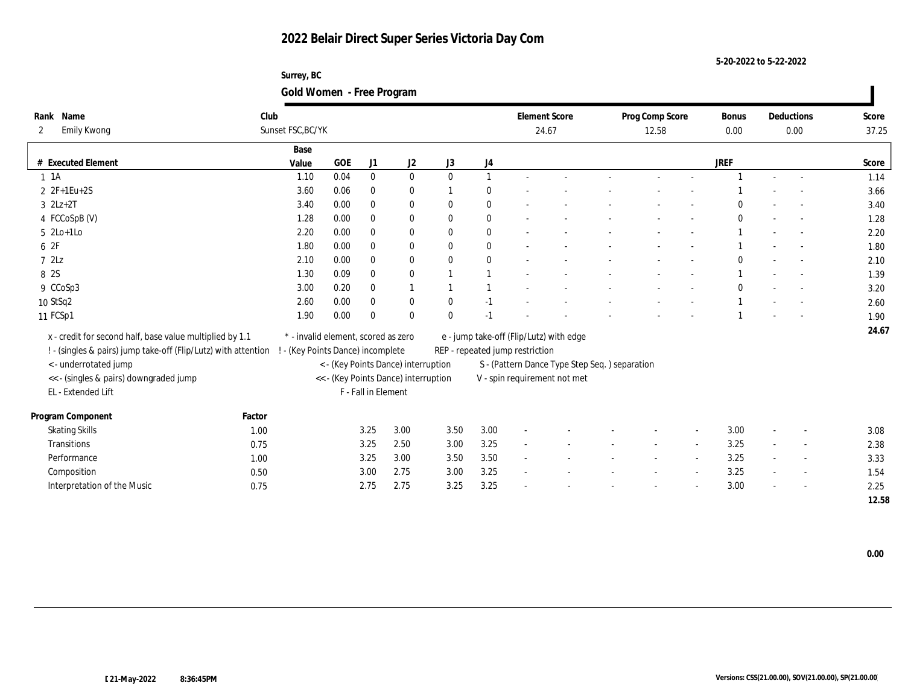**Surrey, BC Gold Women - Free Program**

| Rank Name                                                      | Club   |                                     |            |                     |                                      |              |                  | <b>Element Score</b>            |                                               | Prog Comp Score |        | <b>Bonus</b> |                          | Deductions | Score |
|----------------------------------------------------------------|--------|-------------------------------------|------------|---------------------|--------------------------------------|--------------|------------------|---------------------------------|-----------------------------------------------|-----------------|--------|--------------|--------------------------|------------|-------|
| Emily Kwong<br>$\mathbf{2}$                                    |        | Sunset FSC, BC/YK                   |            |                     |                                      |              |                  |                                 | 24.67                                         | 12.58           |        | 0.00         |                          | 0.00       | 37.25 |
|                                                                |        | Base                                |            |                     |                                      |              |                  |                                 |                                               |                 |        |              |                          |            |       |
| # Executed Element                                             |        | Value                               | <b>GOE</b> | J1                  | $\mathrm{J}2$                        | J3           | $_{\mathrm{J}4}$ |                                 |                                               |                 |        | <b>JREF</b>  |                          |            | Score |
| $1 \t1A$                                                       |        | 1.10                                | 0.04       | $\mathbf{0}$        | $\bf{0}$                             | $\theta$     | $\mathbf{1}$     |                                 |                                               |                 |        |              | $\sim$                   | $\sim$     | 1.14  |
| 2 2F+1Eu+2S                                                    |        | 3.60                                | 0.06       | $\bf{0}$            | $\bf{0}$                             |              | $\theta$         |                                 |                                               |                 |        |              |                          |            | 3.66  |
| $3 \quad 2Lz+2T$                                               |        | 3.40                                | 0.00       | $\bf{0}$            | $\bf{0}$                             | $\theta$     | $\bf{0}$         |                                 |                                               |                 |        |              |                          |            | 3.40  |
| 4 FCCoSpB (V)                                                  |        | 1.28                                | 0.00       | $\mathbf{0}$        | $\bf{0}$                             | $\mathbf{0}$ | $\mathbf{0}$     |                                 |                                               |                 |        |              |                          |            | 1.28  |
| $5 \text{2Lo+1Lo}$                                             |        | 2.20                                | 0.00       | $\bf{0}$            | $\bf{0}$                             | $\bf{0}$     | $\bf{0}$         |                                 |                                               |                 |        |              |                          |            | 2.20  |
| 6 2F                                                           |        | 1.80                                | 0.00       | $\mathbf{0}$        | $\bf{0}$                             | $\mathbf{0}$ | $\bf{0}$         |                                 |                                               |                 |        |              |                          |            | 1.80  |
| 72Lz                                                           |        | 2.10                                | 0.00       | $\mathbf{0}$        | $\bf{0}$                             | $\theta$     | $\mathbf{0}$     |                                 |                                               |                 |        |              |                          |            | 2.10  |
| 8 2S                                                           |        | 1.30                                | 0.09       | $\mathbf{0}$        | $\bf{0}$                             |              |                  |                                 |                                               |                 |        |              |                          |            | 1.39  |
| 9 CCoSp3                                                       |        | 3.00                                | 0.20       | $\bf{0}$            |                                      |              |                  |                                 |                                               |                 |        |              |                          |            | 3.20  |
| 10 StSq2                                                       |        | 2.60                                | 0.00       | $\mathbf{0}$        | $\bf{0}$                             | $\theta$     | $-1$             |                                 |                                               |                 |        |              |                          |            | 2.60  |
| 11 FCSp1                                                       |        | 1.90                                | 0.00       | $\Omega$            | $\bf{0}$                             | $\theta$     | $-1$             |                                 |                                               |                 |        |              |                          |            | 1.90  |
| x - credit for second half, base value multiplied by 1.1       |        | * - invalid element, scored as zero |            |                     |                                      |              |                  |                                 | e - jump take-off (Flip/Lutz) with edge       |                 |        |              |                          |            | 24.67 |
| ! - (singles & pairs) jump take-off (Flip/Lutz) with attention |        | - (Key Points Dance) incomplete     |            |                     |                                      |              |                  | REP - repeated jump restriction |                                               |                 |        |              |                          |            |       |
| <- underrotated jump                                           |        |                                     |            |                     | < - (Key Points Dance) interruption  |              |                  |                                 | S - (Pattern Dance Type Step Seq.) separation |                 |        |              |                          |            |       |
| << - (singles & pairs) downgraded jump                         |        |                                     |            |                     | << - (Key Points Dance) interruption |              |                  |                                 | V - spin requirement not met                  |                 |        |              |                          |            |       |
| EL - Extended Lift                                             |        |                                     |            | F - Fall in Element |                                      |              |                  |                                 |                                               |                 |        |              |                          |            |       |
|                                                                |        |                                     |            |                     |                                      |              |                  |                                 |                                               |                 |        |              |                          |            |       |
| Program Component                                              | Factor |                                     |            |                     |                                      |              |                  |                                 |                                               |                 |        |              |                          |            |       |
| <b>Skating Skills</b>                                          | 1.00   |                                     |            | 3.25                | 3.00                                 | 3.50         | 3.00             |                                 |                                               |                 |        | 3.00         | $\sim$                   |            | 3.08  |
| <b>Transitions</b>                                             | 0.75   |                                     |            | 3.25                | 2.50                                 | 3.00         | 3.25             |                                 |                                               |                 |        | 3.25         | $\overline{\phantom{a}}$ |            | 2.38  |
| Performance                                                    | 1.00   |                                     |            | 3.25                | $3.00\,$                             | 3.50         | 3.50             | $\sim$                          |                                               |                 | $\sim$ | 3.25         | $\sim$                   |            | 3.33  |
| Composition                                                    | 0.50   |                                     |            | 3.00                | 2.75                                 | 3.00         | 3.25             |                                 |                                               |                 |        | 3.25         |                          |            | 1.54  |
| Interpretation of the Music                                    | 0.75   |                                     |            | 2.75                | 2.75                                 | 3.25         | 3.25             |                                 |                                               |                 |        | 3.00         |                          |            | 2.25  |
|                                                                |        |                                     |            |                     |                                      |              |                  |                                 |                                               |                 |        |              |                          |            | 12.58 |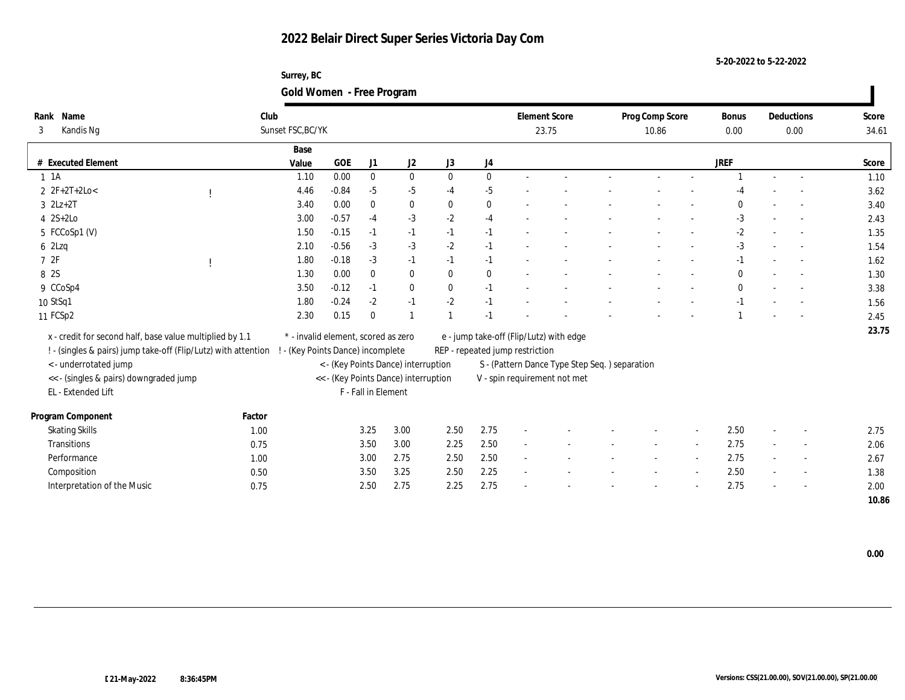**Surrey, BC Gold Women - Free Program**

| Rank Name<br>Kandis Ng<br>3                                                                                                | Club   | Sunset FSC, BC/YK                                                            |            |                     |                                      |              |              | <b>Element Score</b><br>23.75                                              |                                               | Prog Comp Score<br>10.86 |        | <b>Bonus</b><br>0.00 |        | Deductions<br>0.00       | Score<br>34.61 |
|----------------------------------------------------------------------------------------------------------------------------|--------|------------------------------------------------------------------------------|------------|---------------------|--------------------------------------|--------------|--------------|----------------------------------------------------------------------------|-----------------------------------------------|--------------------------|--------|----------------------|--------|--------------------------|----------------|
|                                                                                                                            |        | Base                                                                         |            |                     |                                      |              |              |                                                                            |                                               |                          |        |                      |        |                          |                |
| # Executed Element                                                                                                         |        | Value                                                                        | <b>GOE</b> | J1                  | J2                                   | J3           | J4           |                                                                            |                                               |                          |        | <b>JREF</b>          |        |                          | Score          |
| $1 \t1A$                                                                                                                   |        | 1.10                                                                         | 0.00       | $\bf{0}$            | $\bf{0}$                             | $\mathbf{0}$ | $\mathbf{0}$ |                                                                            |                                               |                          |        |                      |        |                          | 1.10           |
| $2 \t2F+2T+2Lo<$                                                                                                           |        | 4.46                                                                         | $-0.84$    | $-5$                | -5                                   | $-4$         | $-5$         |                                                                            |                                               |                          |        |                      |        |                          | 3.62           |
| $3$ $2Lz+2T$                                                                                                               |        | 3.40                                                                         | 0.00       | $\mathbf{0}$        | $\mathbf{0}$                         | $\bf{0}$     | $\mathbf{0}$ |                                                                            |                                               |                          |        | $\theta$             |        |                          | 3.40           |
| $4 \quad 2S+2Lo$                                                                                                           |        | 3.00                                                                         | $-0.57$    | $-4$                | $-3$                                 | $-2$         | $-4$         |                                                                            |                                               |                          |        | $-3$                 |        |                          | 2.43           |
| 5 FCCoSp1 (V)                                                                                                              |        | 1.50                                                                         | $-0.15$    | $-1$                | $-1$                                 | $-1$         | $-1$         |                                                                            |                                               |                          |        | $-2$                 |        |                          | 1.35           |
| 62Lzq                                                                                                                      |        | 2.10                                                                         | $-0.56$    | $-3$                | $-3$                                 | $-2$         | $-1$         |                                                                            |                                               |                          |        | $-3$                 |        |                          | 1.54           |
| 72F                                                                                                                        |        | 1.80                                                                         | $-0.18$    | $-3$                | $-1$                                 | $-1$         | $-1$         |                                                                            |                                               |                          |        | $-1$                 |        |                          | 1.62           |
| 8 2S                                                                                                                       |        | 1.30                                                                         | 0.00       | $\bf{0}$            | $\bf{0}$                             | $\bf{0}$     | $\bf{0}$     |                                                                            |                                               |                          |        | $\mathbf{0}$         |        |                          | 1.30           |
| 9 CCoSp4                                                                                                                   |        | 3.50                                                                         | $-0.12$    | $-1$                | $\bf{0}$                             | $\bf{0}$     | $-1$         |                                                                            |                                               |                          |        | $\Omega$             |        |                          | 3.38           |
| 10 StSq1                                                                                                                   |        | 1.80                                                                         | $-0.24$    | $-2$                | $-1$                                 | $-2$         | $-1$         |                                                                            |                                               |                          |        |                      |        |                          | 1.56           |
| 11 FCSp2                                                                                                                   |        | 2.30                                                                         | 0.15       | $\mathbf{0}$        |                                      |              | $-1$         |                                                                            |                                               |                          |        |                      |        |                          | 2.45           |
| x - credit for second half, base value multiplied by 1.1<br>! - (singles & pairs) jump take-off (Flip/Lutz) with attention |        | $^\ast$ - invalid element, scored as zero<br>- (Key Points Dance) incomplete |            |                     |                                      |              |              | e - jump take-off (Flip/Lutz) with edge<br>REP - repeated jump restriction |                                               |                          |        |                      |        |                          | 23.75          |
| < - underrotated jump                                                                                                      |        |                                                                              |            |                     | < - (Key Points Dance) interruption  |              |              |                                                                            | S - (Pattern Dance Type Step Seq.) separation |                          |        |                      |        |                          |                |
| << - (singles & pairs) downgraded jump                                                                                     |        |                                                                              |            |                     | << - (Key Points Dance) interruption |              |              |                                                                            | V - spin requirement not met                  |                          |        |                      |        |                          |                |
| EL - Extended Lift                                                                                                         |        |                                                                              |            | F - Fall in Element |                                      |              |              |                                                                            |                                               |                          |        |                      |        |                          |                |
| Program Component                                                                                                          | Factor |                                                                              |            |                     |                                      |              |              |                                                                            |                                               |                          |        |                      |        |                          |                |
| <b>Skating Skills</b>                                                                                                      | 1.00   |                                                                              |            | 3.25                | 3.00                                 | 2.50         | 2.75         |                                                                            |                                               |                          |        | 2.50                 |        |                          | 2.75           |
| Transitions                                                                                                                | 0.75   |                                                                              |            | 3.50                | 3.00                                 | 2.25         | 2.50         |                                                                            |                                               |                          |        | 2.75                 | $\sim$ | $\overline{\phantom{a}}$ | 2.06           |
| Performance                                                                                                                | 1.00   |                                                                              |            | 3.00                | 2.75                                 | 2.50         | 2.50         |                                                                            |                                               |                          | $\sim$ | 2.75                 | $\sim$ | $\sim$                   | 2.67           |
| Composition                                                                                                                | 0.50   |                                                                              |            | 3.50                | 3.25                                 | 2.50         | 2.25         |                                                                            |                                               |                          |        | 2.50                 |        |                          | 1.38           |
| Interpretation of the Music                                                                                                | 0.75   |                                                                              |            | 2.50                | 2.75                                 | 2.25         | 2.75         |                                                                            |                                               |                          |        | 2.75                 |        |                          | 2.00           |
|                                                                                                                            |        |                                                                              |            |                     |                                      |              |              |                                                                            |                                               |                          |        |                      |        |                          | 10.86          |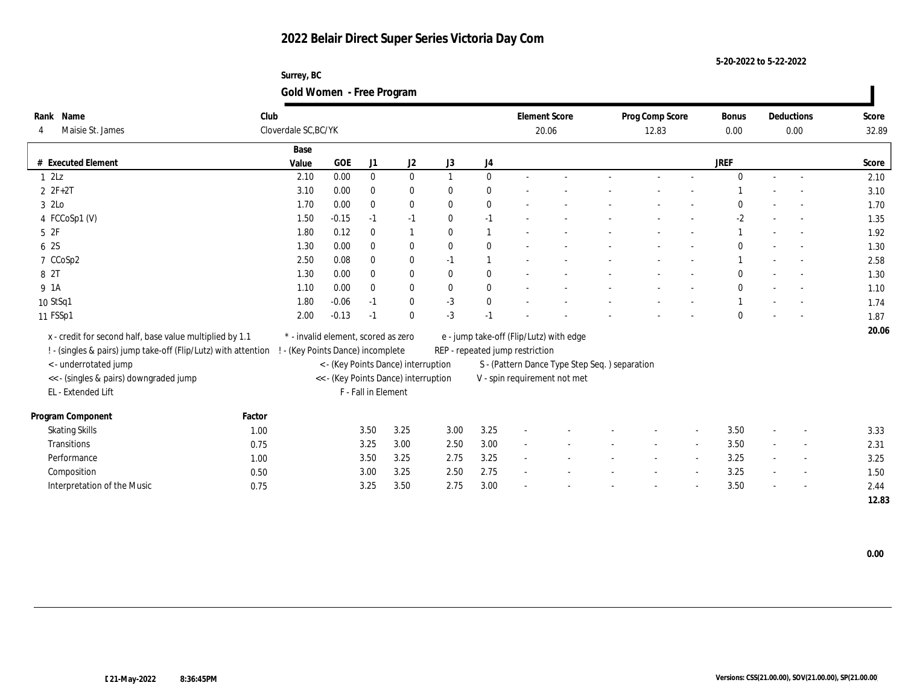**Surrey, BC Gold Women - Free Program**

| Rank Name<br>Maisie St. James                                  | Club   | Cloverdale SC, BC/YK                |            |                     |                                      |              |                | <b>Element Score</b>            | 20.06                                         | Prog Comp Score<br>12.83 |                          | <b>Bonus</b><br>0.00 |                | Deductions<br>0.00 | Score<br>32.89 |
|----------------------------------------------------------------|--------|-------------------------------------|------------|---------------------|--------------------------------------|--------------|----------------|---------------------------------|-----------------------------------------------|--------------------------|--------------------------|----------------------|----------------|--------------------|----------------|
|                                                                |        | Base                                |            |                     |                                      |              |                |                                 |                                               |                          |                          |                      |                |                    |                |
| <b>Executed Element</b>                                        |        | Value                               | <b>GOE</b> | J1                  | J2                                   | J3           | J4             |                                 |                                               |                          |                          | <b>JREF</b>          |                |                    | Score          |
| 1 2Lz                                                          |        | 2.10                                | 0.00       | $\bf{0}$            | $\mathbf{0}$                         |              | $\bf{0}$       |                                 |                                               |                          |                          |                      |                |                    | 2.10           |
| $2ZF+2T$                                                       |        | 3.10                                | 0.00       | $\mathbf{0}$        | $\bf{0}$                             | $\bf{0}$     | $\bf{0}$       |                                 |                                               |                          |                          |                      |                |                    | 3.10           |
| 3 2Lo                                                          |        | 1.70                                | 0.00       | $\bf{0}$            | $\bf{0}$                             | $\bf{0}$     | $\bf{0}$       |                                 |                                               |                          |                          |                      |                |                    | 1.70           |
| 4 FCCoSp1 (V)                                                  |        | 1.50                                | $-0.15$    | $-1$                | $-1$                                 | $\bf{0}$     | $-1$           |                                 |                                               |                          |                          | $-2$                 |                |                    | 1.35           |
| 5 2F                                                           |        | 1.80                                | 0.12       | $\mathbf{0}$        | 1                                    | $\theta$     | $\overline{1}$ |                                 |                                               |                          |                          |                      |                |                    | 1.92           |
| 6 2S                                                           |        | 1.30                                | 0.00       | $\mathbf{0}$        | $\bf{0}$                             | $\bf{0}$     | $\mathbf{0}$   |                                 |                                               |                          |                          |                      |                |                    | 1.30           |
| 7 CCoSp2                                                       |        | 2.50                                | 0.08       | $\mathbf{0}$        | $\bf{0}$                             | $-1$         | $\overline{1}$ |                                 |                                               |                          |                          |                      |                |                    | 2.58           |
| 8 2T                                                           |        | 1.30                                | 0.00       | $\bf{0}$            | $\bf{0}$                             | $\bf{0}$     | $\bf{0}$       |                                 |                                               |                          |                          |                      |                |                    | 1.30           |
| 9 1A                                                           |        | 1.10                                | 0.00       | $\mathbf{0}$        | $\bf{0}$                             | $\mathbf{0}$ | $\bf{0}$       |                                 |                                               |                          |                          |                      |                |                    | 1.10           |
| 10 StSq1                                                       |        | 1.80                                | $-0.06$    | $-1$                | $\bf{0}$                             | $-3$         | $\bf{0}$       |                                 |                                               |                          |                          |                      |                |                    | 1.74           |
| 11 FSSp1                                                       |        | 2.00                                | $-0.13$    | $-1$                | $\theta$                             | $-3$         | $-1$           |                                 |                                               |                          |                          |                      |                |                    | 1.87           |
| x - credit for second half, base value multiplied by 1.1       |        | * - invalid element, scored as zero |            |                     |                                      |              |                |                                 | e - jump take-off (Flip/Lutz) with edge       |                          |                          |                      |                |                    | 20.06          |
| ! - (singles & pairs) jump take-off (Flip/Lutz) with attention |        | ! - (Key Points Dance) incomplete   |            |                     |                                      |              |                | REP - repeated jump restriction |                                               |                          |                          |                      |                |                    |                |
| <- underrotated jump                                           |        |                                     |            |                     | < - (Key Points Dance) interruption  |              |                |                                 | S - (Pattern Dance Type Step Seq.) separation |                          |                          |                      |                |                    |                |
| << - (singles & pairs) downgraded jump                         |        |                                     |            |                     | << - (Key Points Dance) interruption |              |                |                                 | V - spin requirement not met                  |                          |                          |                      |                |                    |                |
| EL - Extended Lift                                             |        |                                     |            | F - Fall in Element |                                      |              |                |                                 |                                               |                          |                          |                      |                |                    |                |
|                                                                |        |                                     |            |                     |                                      |              |                |                                 |                                               |                          |                          |                      |                |                    |                |
| Program Component                                              | Factor |                                     |            |                     |                                      |              |                |                                 |                                               |                          |                          |                      |                |                    |                |
| <b>Skating Skills</b>                                          | 1.00   |                                     |            | 3.50                | 3.25                                 | 3.00         | 3.25           |                                 |                                               |                          |                          | 3.50                 | $\overline{a}$ |                    | 3.33           |
| Transitions                                                    | 0.75   |                                     |            | 3.25                | 3.00                                 | 2.50         | 3.00           |                                 |                                               |                          |                          | 3.50                 | $\sim$         |                    | 2.31           |
| Performance                                                    | 1.00   |                                     |            | 3.50                | 3.25                                 | 2.75         | 3.25           | $\sim$                          |                                               |                          | $\overline{\phantom{a}}$ | 3.25                 | $\sim$         |                    | 3.25           |
| Composition                                                    | 0.50   |                                     |            | 3.00                | 3.25                                 | 2.50         | 2.75           |                                 |                                               |                          |                          | 3.25                 | $\sim$         |                    | 1.50           |
| Interpretation of the Music                                    | 0.75   |                                     |            | 3.25                | 3.50                                 | 2.75         | 3.00           |                                 |                                               |                          |                          | 3.50                 |                |                    | 2.44           |
|                                                                |        |                                     |            |                     |                                      |              |                |                                 |                                               |                          |                          |                      |                |                    | 12.83          |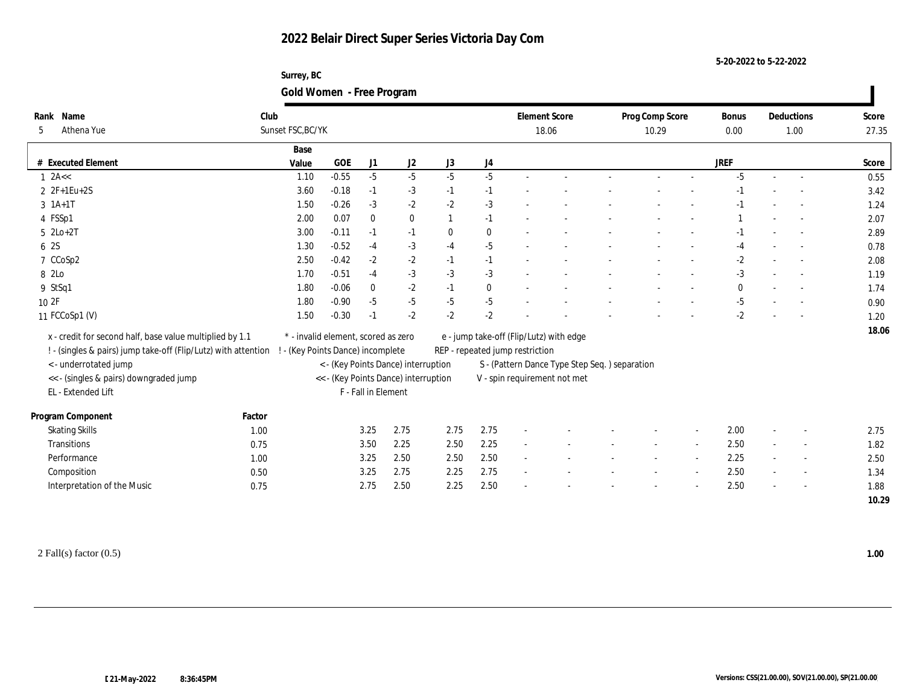**Surrey, BC Gold Women - Free Program**

| Rank Name                                                      | Club   |                                     |            |                     |                                      |                  |              | <b>Element Score</b>            |                                               | Prog Comp Score | <b>Bonus</b> |                          | Deductions | Score |
|----------------------------------------------------------------|--------|-------------------------------------|------------|---------------------|--------------------------------------|------------------|--------------|---------------------------------|-----------------------------------------------|-----------------|--------------|--------------------------|------------|-------|
| Athena Yue<br>5                                                |        | Sunset FSC, BC/YK                   |            |                     |                                      |                  |              |                                 | 18.06                                         | 10.29           | 0.00         |                          | 1.00       | 27.35 |
|                                                                |        | Base                                |            |                     |                                      |                  |              |                                 |                                               |                 |              |                          |            |       |
| # Executed Element                                             |        | Value                               | <b>GOE</b> | J1                  | J2                                   | J3               | J4           |                                 |                                               |                 | <b>JREF</b>  |                          |            | Score |
| $1$ 2A <<                                                      |        | 1.10                                | $-0.55$    | $-5$                | $-5$                                 | $-5$             | $-5$         |                                 |                                               |                 | $-5$         | $\sim$                   | $\sim$     | 0.55  |
| 2 2F+1Eu+2S                                                    |        | 3.60                                | $-0.18$    | $-1$                | $-3$                                 | $-1$             | $-1$         |                                 |                                               |                 |              |                          |            | 3.42  |
| $3 \; 1A+1T$                                                   |        | 1.50                                | $-0.26$    | $-3$                | $-2$                                 | $-2$             | $-3$         |                                 |                                               |                 |              |                          |            | 1.24  |
| 4 FSSp1                                                        |        | 2.00                                | 0.07       | $\mathbf{0}$        | $\bf{0}$                             |                  | $-1$         |                                 |                                               |                 |              |                          |            | 2.07  |
| $5$ $2Lo+2T$                                                   |        | 3.00                                | $-0.11$    | $-1$                | $-1$                                 | $\boldsymbol{0}$ | $\mathbf{0}$ |                                 |                                               |                 |              |                          |            | 2.89  |
| 6 2S                                                           |        | 1.30                                | $-0.52$    | $-4$                | $-3$                                 | $-4$             | $-5$         |                                 |                                               |                 | $-4$         |                          |            | 0.78  |
| 7 CCoSp2                                                       |        | 2.50                                | $-0.42$    | $-2$                | $-2$                                 | $-1$             | $-1$         |                                 |                                               |                 | $-2$         |                          |            | 2.08  |
| 8 2Lo                                                          |        | 1.70                                | $-0.51$    | $-4$                | $-3$                                 | $-3$             | $-3$         |                                 |                                               |                 | $-3$         | $\overline{\phantom{a}}$ |            | 1.19  |
| 9 StSq1                                                        |        | 1.80                                | $-0.06$    | $\mathbf{0}$        | $-2$                                 | $-1$             | $\mathbf{0}$ |                                 |                                               |                 | $\mathbf{0}$ |                          | $\sim$     | 1.74  |
| 10 2F                                                          |        | 1.80                                | $-0.90$    | $-5$                | $-5$                                 | $-5$             | $-5$         |                                 |                                               |                 | $-5$         |                          |            | 0.90  |
| 11 FCCoSp1 (V)                                                 |        | 1.50                                | $-0.30$    | $-1$                | $-2$                                 | $-2$             | $-2$         |                                 |                                               |                 | $-2$         |                          |            | 1.20  |
| x - credit for second half, base value multiplied by 1.1       |        | * - invalid element, scored as zero |            |                     |                                      |                  |              |                                 | e - jump take-off (Flip/Lutz) with edge       |                 |              |                          |            | 18.06 |
| ! - (singles & pairs) jump take-off (Flip/Lutz) with attention |        | ! - (Key Points Dance) incomplete   |            |                     |                                      |                  |              | REP - repeated jump restriction |                                               |                 |              |                          |            |       |
| < - underrotated jump                                          |        |                                     |            |                     | < - (Key Points Dance) interruption  |                  |              |                                 | S - (Pattern Dance Type Step Seq.) separation |                 |              |                          |            |       |
| << - (singles & pairs) downgraded jump                         |        |                                     |            |                     | << - (Key Points Dance) interruption |                  |              |                                 | V - spin requirement not met                  |                 |              |                          |            |       |
| EL - Extended Lift                                             |        |                                     |            | F - Fall in Element |                                      |                  |              |                                 |                                               |                 |              |                          |            |       |
| Program Component                                              | Factor |                                     |            |                     |                                      |                  |              |                                 |                                               |                 |              |                          |            |       |
| <b>Skating Skills</b>                                          | 1.00   |                                     |            | 3.25                | 2.75                                 | 2.75             | 2.75         |                                 |                                               |                 | 2.00         | $\overline{\phantom{a}}$ |            | 2.75  |
| Transitions                                                    | 0.75   |                                     |            | 3.50                | 2.25                                 | 2.50             | 2.25         |                                 |                                               |                 | 2.50         |                          |            | 1.82  |
| Performance                                                    | 1.00   |                                     |            | 3.25                | 2.50                                 | 2.50             | 2.50         |                                 |                                               |                 | 2.25         |                          |            | 2.50  |
| Composition                                                    | 0.50   |                                     |            | 3.25                | 2.75                                 | 2.25             | 2.75         |                                 |                                               |                 | 2.50         |                          |            | 1.34  |
| Interpretation of the Music                                    | 0.75   |                                     |            | 2.75                | 2.50                                 | 2.25             | 2.50         |                                 |                                               |                 | 2.50         |                          |            | 1.88  |
|                                                                |        |                                     |            |                     |                                      |                  |              |                                 |                                               |                 |              |                          |            | 10.29 |

2 Fall(s) factor (0.5) **1.00**